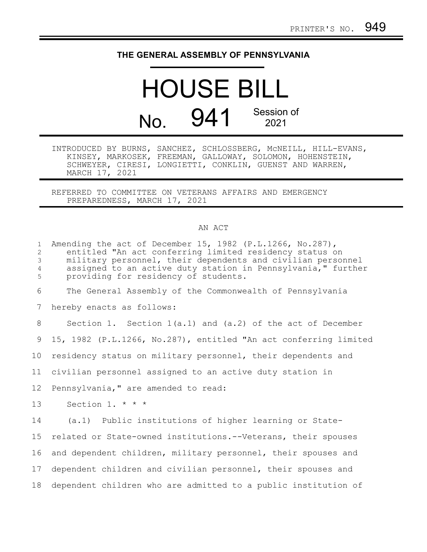## **THE GENERAL ASSEMBLY OF PENNSYLVANIA**

## HOUSE BILL No. 941 Session of 2021

INTRODUCED BY BURNS, SANCHEZ, SCHLOSSBERG, McNEILL, HILL-EVANS, KINSEY, MARKOSEK, FREEMAN, GALLOWAY, SOLOMON, HOHENSTEIN, SCHWEYER, CIRESI, LONGIETTI, CONKLIN, GUENST AND WARREN, MARCH 17, 2021

REFERRED TO COMMITTEE ON VETERANS AFFAIRS AND EMERGENCY PREPAREDNESS, MARCH 17, 2021

## AN ACT

| $\mathbf{1}$<br>$\mathbf{2}$<br>3<br>$\overline{4}$<br>5 | Amending the act of December 15, 1982 (P.L.1266, No.287),<br>entitled "An act conferring limited residency status on<br>military personnel, their dependents and civilian personnel<br>assigned to an active duty station in Pennsylvania," further<br>providing for residency of students. |
|----------------------------------------------------------|---------------------------------------------------------------------------------------------------------------------------------------------------------------------------------------------------------------------------------------------------------------------------------------------|
| 6                                                        | The General Assembly of the Commonwealth of Pennsylvania                                                                                                                                                                                                                                    |
| 7                                                        | hereby enacts as follows:                                                                                                                                                                                                                                                                   |
| 8                                                        | Section 1. Section $1(a.1)$ and $(a.2)$ of the act of December                                                                                                                                                                                                                              |
| 9                                                        | 15, 1982 (P.L.1266, No.287), entitled "An act conferring limited                                                                                                                                                                                                                            |
| 10                                                       | residency status on military personnel, their dependents and                                                                                                                                                                                                                                |
| 11                                                       | civilian personnel assigned to an active duty station in                                                                                                                                                                                                                                    |
| 12                                                       | Pennsylvania," are amended to read:                                                                                                                                                                                                                                                         |
| 13                                                       | Section 1. * * *                                                                                                                                                                                                                                                                            |
| 14                                                       | (a.1) Public institutions of higher learning or State-                                                                                                                                                                                                                                      |
| 15                                                       | related or State-owned institutions.--Veterans, their spouses                                                                                                                                                                                                                               |
| 16                                                       | and dependent children, military personnel, their spouses and                                                                                                                                                                                                                               |
| 17 <sub>2</sub>                                          | dependent children and civilian personnel, their spouses and                                                                                                                                                                                                                                |
| 18                                                       | dependent children who are admitted to a public institution of                                                                                                                                                                                                                              |